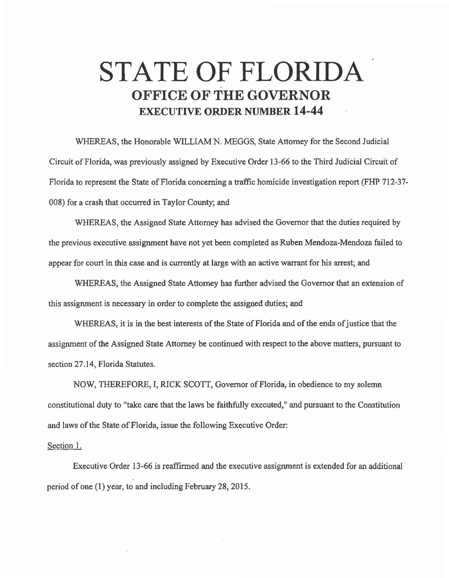## **STATE OF FLORIDA OFFICE OF THE GOVERNOR EXECUTIVE ORDER NUMBER 14-44**

WHEREAS, the Honorable WILLIAM N. MEGGS, State Attorney for the Second Judicial Circuit of Florida, was previously assigned by Executive Order 13-66 to the Third Judicial Circuit of Florida to represent the State of Florida concerning a traffic homicide investigation report (FHP 712-37- 008) for a crash that occurred in Taylor County; and

WHEREAS, the Assigned State Attorney has advised the Governor that the duties required by the previous executive assignment have not yet been completed as Ruben Mendoza-Mendoza failed to appear for court in this case and is currently at large with an active warrant for his arrest; and

WHEREAS, the Assigned State Attorney has further advised the Governor that an extension of this assignment is necessary in order to complete the assigned duties; and

WHEREAS, it is in the best interests of the State of Florida and of the ends of justice that the assignment of the Assigned State Attorney be continued with respect to the above matters, pursuant to section 27.14, Florida Statutes.

NOW, THEREFORE, I, RICK SCOTT, Governor of Florida, in obedience to my solemn constitutional duty to "take care that the laws be faithfully executed," and pursuant to the Constitution and laws of the State of Florida, issue the following Executive Order:

## Section 1.

Executive Order 13-66 is reaffirmed and the executive assignment is extended for an additional period of one (1) year, to and including February 28, 2015.